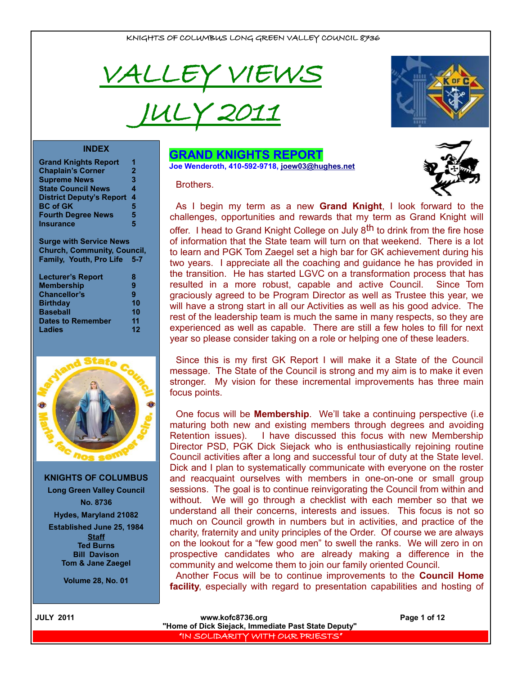

JULY 2011



#### **INDEX**

| <b>Grand Knights Report</b>     |              |
|---------------------------------|--------------|
| <b>Chaplain's Corner</b>        | $\mathbf{2}$ |
| <b>Supreme News</b>             | 3            |
| <b>State Council News</b>       | 4            |
| <b>District Deputy's Report</b> | 4            |
| <b>BC of GK</b>                 | 5            |
| <b>Fourth Degree News</b>       | 5            |
| <b>Insurance</b>                | 5            |
|                                 |              |

**Surge with Service News Church, Community, Council, Family, Youth, Pro Life 5-7**

| <b>Lecturer's Report</b> | 8  |
|--------------------------|----|
| <b>Membership</b>        | 9  |
| <b>Chancellor's</b>      | 9  |
| <b>Birthday</b>          | 10 |
| <b>Baseball</b>          | 10 |
| <b>Dates to Remember</b> | 11 |
| Ladies                   | 12 |
|                          |    |



**KNIGHTS OF COLUMBUS Long Green Valley Council No. 8736 Hydes, Maryland 21082 Established June 25, 1984 Staff Ted Burns Bill Davison Tom & Jane Zaegel**

**Volume 28, No. 01**

#### **GRAND KNIGHTS REPORT Joe Wenderoth, 410-592-9718, [joew03@hughes.net](mailto:joew03@hughes.net)**

**Brothers** 



As I begin my term as a new **Grand Knight**, I look forward to the challenges, opportunities and rewards that my term as Grand Knight will offer. I head to Grand Knight College on July 8<sup>th</sup> to drink from the fire hose of information that the State team will turn on that weekend. There is a lot to learn and PGK Tom Zaegel set a high bar for GK achievement during his two years. I appreciate all the coaching and guidance he has provided in the transition. He has started LGVC on a transformation process that has resulted in a more robust, capable and active Council. Since Tom graciously agreed to be Program Director as well as Trustee this year, we will have a strong start in all our Activities as well as his good advice. The rest of the leadership team is much the same in many respects, so they are experienced as well as capable. There are still a few holes to fill for next year so please consider taking on a role or helping one of these leaders.

Since this is my first GK Report I will make it a State of the Council message. The State of the Council is strong and my aim is to make it even stronger. My vision for these incremental improvements has three main focus points.

One focus will be **Membership**. We'll take a continuing perspective (i.e maturing both new and existing members through degrees and avoiding Retention issues). I have discussed this focus with new Membership Director PSD, PGK Dick Siejack who is enthusiastically rejoining routine Council activities after a long and successful tour of duty at the State level. Dick and I plan to systematically communicate with everyone on the roster and reacquaint ourselves with members in one-on-one or small group sessions. The goal is to continue reinvigorating the Council from within and without. We will go through a checklist with each member so that we understand all their concerns, interests and issues. This focus is not so much on Council growth in numbers but in activities, and practice of the charity, fraternity and unity principles of the Order. Of course we are always on the lookout for a "few good men" to swell the ranks. We will zero in on prospective candidates who are already making a difference in the community and welcome them to join our family oriented Council.

Another Focus will be to continue improvements to the **Council Home facility**, especially with regard to presentation capabilities and hosting of

| <b>IULY 2011</b> |  |
|------------------|--|
|                  |  |

**WWW.kofc8736.org Page 1 of 12 "Home of Dick Siejack, Immediate Past State Deputy"**  "IN SOLIDARITY WITH OUR PRIESTS"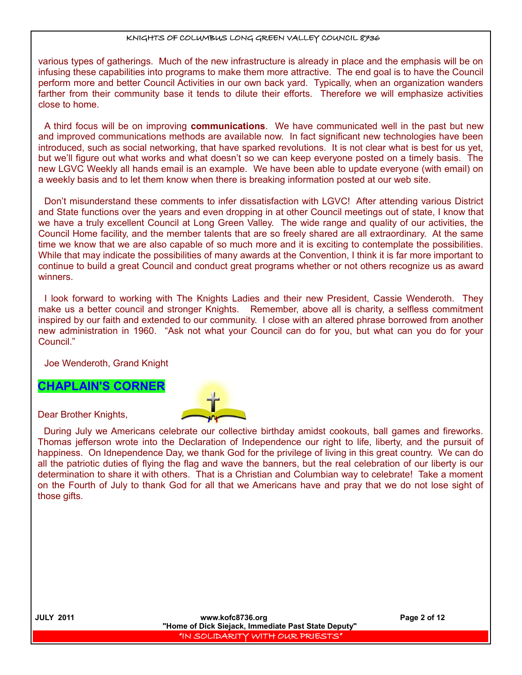various types of gatherings. Much of the new infrastructure is already in place and the emphasis will be on infusing these capabilities into programs to make them more attractive. The end goal is to have the Council perform more and better Council Activities in our own back yard. Typically, when an organization wanders farther from their community base it tends to dilute their efforts. Therefore we will emphasize activities close to home.

A third focus will be on improving **communications**. We have communicated well in the past but new and improved communications methods are available now. In fact significant new technologies have been introduced, such as social networking, that have sparked revolutions. It is not clear what is best for us yet, but we'll figure out what works and what doesn't so we can keep everyone posted on a timely basis. The new LGVC Weekly all hands email is an example. We have been able to update everyone (with email) on a weekly basis and to let them know when there is breaking information posted at our web site.

Don't misunderstand these comments to infer dissatisfaction with LGVC! After attending various District and State functions over the years and even dropping in at other Council meetings out of state, I know that we have a truly excellent Council at Long Green Valley. The wide range and quality of our activities, the Council Home facility, and the member talents that are so freely shared are all extraordinary. At the same time we know that we are also capable of so much more and it is exciting to contemplate the possibilities. While that may indicate the possibilities of many awards at the Convention, I think it is far more important to continue to build a great Council and conduct great programs whether or not others recognize us as award winners.

I look forward to working with The Knights Ladies and their new President, Cassie Wenderoth. They make us a better council and stronger Knights. Remember, above all is charity, a selfless commitment inspired by our faith and extended to our community. I close with an altered phrase borrowed from another new administration in 1960. "Ask not what your Council can do for you, but what can you do for your Council."

Joe Wenderoth, Grand Knight

## **CHAPLAIN'S CORNER**

Dear Brother Knights,



During July we Americans celebrate our collective birthday amidst cookouts, ball games and fireworks. Thomas jefferson wrote into the Declaration of Independence our right to life, liberty, and the pursuit of happiness. On Idnependence Day, we thank God for the privilege of living in this great country. We can do all the patriotic duties of flying the flag and wave the banners, but the real celebration of our liberty is our determination to share it with others. That is a Christian and Columbian way to celebrate! Take a moment on the Fourth of July to thank God for all that we Americans have and pray that we do not lose sight of those gifts.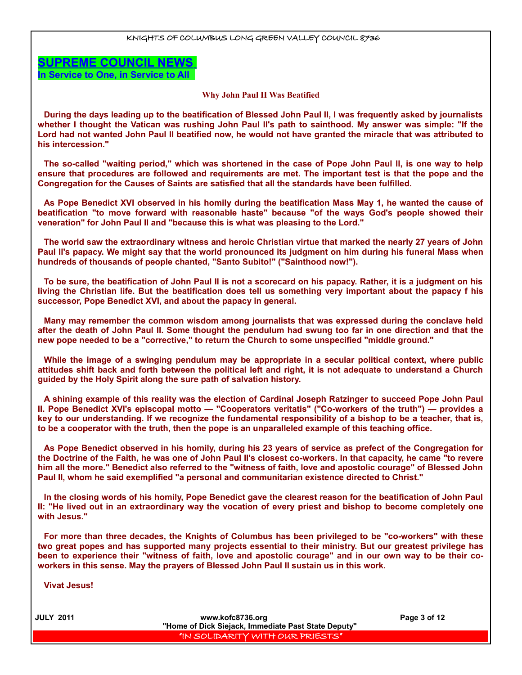**SUPREME COUNCIL NEWS In Service to One, in Service to All** 

#### **Why John Paul II Was Beatified**

**During the days leading up to the beatification of Blessed John Paul II, I was frequently asked by journalists whether I thought the Vatican was rushing John Paul II's path to sainthood. My answer was simple: "If the Lord had not wanted John Paul II beatified now, he would not have granted the miracle that was attributed to his intercession."**

**The so-called "waiting period," which was shortened in the case of Pope John Paul II, is one way to help ensure that procedures are followed and requirements are met. The important test is that the pope and the Congregation for the Causes of Saints are satisfied that all the standards have been fulfilled.**

**As Pope Benedict XVI observed in his homily during the beatification Mass May 1, he wanted the cause of beatification "to move forward with reasonable haste" because "of the ways God's people showed their veneration" for John Paul II and "because this is what was pleasing to the Lord."**

**The world saw the extraordinary witness and heroic Christian virtue that marked the nearly 27 years of John Paul II's papacy. We might say that the world pronounced its judgment on him during his funeral Mass when hundreds of thousands of people chanted, "Santo Subito!" ("Sainthood now!").**

**To be sure, the beatification of John Paul II is not a scorecard on his papacy. Rather, it is a judgment on his living the Christian life. But the beatification does tell us something very important about the papacy f his successor, Pope Benedict XVI, and about the papacy in general.**

**Many may remember the common wisdom among journalists that was expressed during the conclave held after the death of John Paul II. Some thought the pendulum had swung too far in one direction and that the new pope needed to be a "corrective," to return the Church to some unspecified "middle ground."**

**While the image of a swinging pendulum may be appropriate in a secular political context, where public attitudes shift back and forth between the political left and right, it is not adequate to understand a Church guided by the Holy Spirit along the sure path of salvation history.**

**A shining example of this reality was the election of Cardinal Joseph Ratzinger to succeed Pope John Paul II. Pope Benedict XVI's episcopal motto — "Cooperators veritatis" ("Co-workers of the truth") — provides a key to our understanding. If we recognize the fundamental responsibility of a bishop to be a teacher, that is, to be a cooperator with the truth, then the pope is an unparalleled example of this teaching office.**

**As Pope Benedict observed in his homily, during his 23 years of service as prefect of the Congregation for the Doctrine of the Faith, he was one of John Paul II's closest co-workers. In that capacity, he came "to revere him all the more." Benedict also referred to the "witness of faith, love and apostolic courage" of Blessed John Paul II, whom he said exemplified "a personal and communitarian existence directed to Christ."**

**In the closing words of his homily, Pope Benedict gave the clearest reason for the beatification of John Paul II: "He lived out in an extraordinary way the vocation of every priest and bishop to become completely one with Jesus."**

**For more than three decades, the Knights of Columbus has been privileged to be "co-workers" with these two great popes and has supported many projects essential to their ministry. But our greatest privilege has been to experience their "witness of faith, love and apostolic courage" and in our own way to be their coworkers in this sense. May the prayers of Blessed John Paul II sustain us in this work.**

**Vivat Jesus!**

 **JULY 2011 www.kofc8736.org Page 3 of 12 "Home of Dick Siejack, Immediate Past State Deputy"**  "IN SOLIDARITY WITH OUR PRIESTS"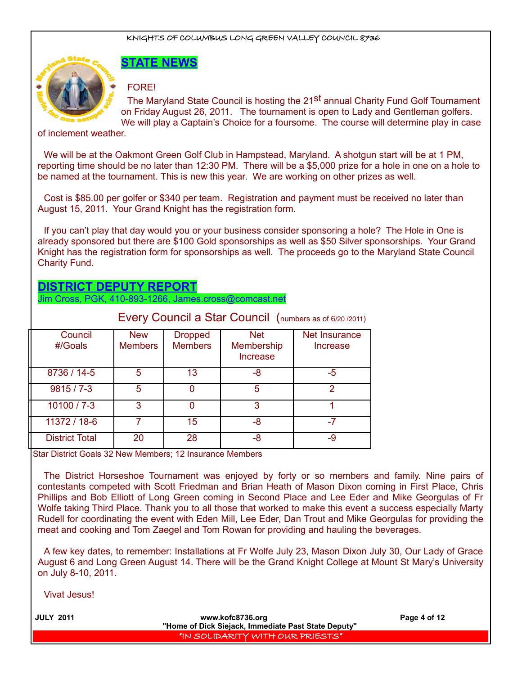

# **STATE NEWS**

FORE!

The Maryland State Council is hosting the 21<sup>St</sup> annual Charity Fund Golf Tournament on Friday August 26, 2011. The tournament is open to Lady and Gentleman golfers. We will play a Captain's Choice for a foursome. The course will determine play in case

#### of inclement weather.

We will be at the Oakmont Green Golf Club in Hampstead, Maryland. A shotgun start will be at 1 PM, reporting time should be no later than 12:30 PM. There will be a \$5,000 prize for a hole in one on a hole to be named at the tournament. This is new this year. We are working on other prizes as well.

Cost is \$85.00 per golfer or \$340 per team. Registration and payment must be received no later than August 15, 2011. Your Grand Knight has the registration form.

If you can't play that day would you or your business consider sponsoring a hole? The Hole in One is already sponsored but there are \$100 Gold sponsorships as well as \$50 Silver sponsorships. Your Grand Knight has the registration form for sponsorships as well. The proceeds go to the Maryland State Council Charity Fund.

# **DISTRICT DEPUTY REPORT**

Jim Cross, PGK, 410-893-1266, James.cross@comcast.net

|                       |                              |                                  |                                                    | Every Council a Star Council (numbers as of 6/20 /2011) |
|-----------------------|------------------------------|----------------------------------|----------------------------------------------------|---------------------------------------------------------|
| Council<br>#/Goals    | <b>New</b><br><b>Members</b> | <b>Dropped</b><br><b>Members</b> | <b>Net</b><br><b>Membership</b><br><b>Increase</b> | Net Insurance<br>Increase                               |
| 8736 / 14-5           | 5                            | 13                               | -8                                                 | -5                                                      |
| $9815/7 - 3$          | 5                            |                                  | 5                                                  | 2                                                       |
| $10100 / 7 - 3$       | З                            |                                  | 3                                                  |                                                         |
| 11372 / 18-6          |                              | 15                               | -8                                                 |                                                         |
| <b>District Total</b> | 20                           | 28                               | -8                                                 | -9                                                      |

Star District Goals 32 New Members; 12 Insurance Members

The District Horseshoe Tournament was enjoyed by forty or so members and family. Nine pairs of contestants competed with Scott Friedman and Brian Heath of Mason Dixon coming in First Place, Chris Phillips and Bob Elliott of Long Green coming in Second Place and Lee Eder and Mike Georgulas of Fr Wolfe taking Third Place. Thank you to all those that worked to make this event a success especially Marty Rudell for coordinating the event with Eden Mill, Lee Eder, Dan Trout and Mike Georgulas for providing the meat and cooking and Tom Zaegel and Tom Rowan for providing and hauling the beverages.

A few key dates, to remember: Installations at Fr Wolfe July 23, Mason Dixon July 30, Our Lady of Grace August 6 and Long Green August 14. There will be the Grand Knight College at Mount St Mary's University on July 8-10, 2011.

Vivat Jesus!

| <b>JULY 2011</b> | www.kofc8736.org<br>"Home of Dick Siejack, Immediate Past State Deputy" | Page 4 of 12 |
|------------------|-------------------------------------------------------------------------|--------------|
|                  | "IN SOLIDARITY WITH OUR PRIESTS"                                        |              |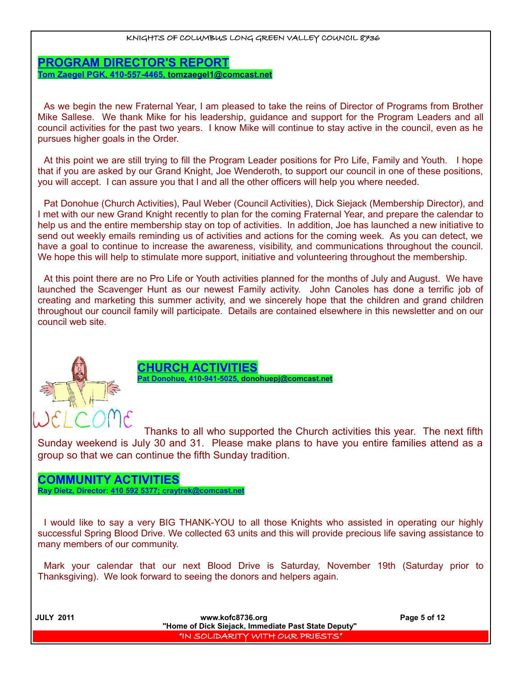**PROGRAM DIRECTOR'S REPORT Tom Zaegel PGK, 410-557-4465, [tomzaegel1@comcast.net](mailto:tomzaegel1@comcast.net)**

As we begin the new Fraternal Year, I am pleased to take the reins of Director of Programs from Brother Mike Sallese. We thank Mike for his leadership, guidance and support for the Program Leaders and all council activities for the past two years. I know Mike will continue to stay active in the council, even as he pursues higher goals in the Order.

At this point we are still trying to fill the Program Leader positions for Pro Life, Family and Youth. I hope that if you are asked by our Grand Knight, Joe Wenderoth, to support our council in one of these positions, you will accept. I can assure you that I and all the other officers will help you where needed.

Pat Donohue (Church Activities), Paul Weber (Council Activities), Dick Siejack (Membership Director), and I met with our new Grand Knight recently to plan for the coming Fraternal Year, and prepare the calendar to help us and the entire membership stay on top of activities. In addition, Joe has launched a new initiative to send out weekly emails reminding us of activities and actions for the coming week. As you can detect, we have a goal to continue to increase the awareness, visibility, and communications throughout the council. We hope this will help to stimulate more support, initiative and volunteering throughout the membership.

At this point there are no Pro Life or Youth activities planned for the months of July and August. We have launched the Scavenger Hunt as our newest Family activity. John Canoles has done a terrific job of creating and marketing this summer activity, and we sincerely hope that the children and grand children throughout our council family will participate. Details are contained elsewhere in this newsletter and on our council web site.





Thanks to all who supported the Church activities this year. The next fifth Sunday weekend is July 30 and 31. Please make plans to have you entire families attend as a group so that we can continue the fifth Sunday tradition.

## **COMMUNITY ACTIVITIES**

**Ray Dietz, Director: 410 592 5377; craytrek@comcast.net**

I would like to say a very BIG THANK-YOU to all those Knights who assisted in operating our highly successful Spring Blood Drive. We collected 63 units and this will provide precious life saving assistance to many members of our community.

Mark your calendar that our next Blood Drive is Saturday, November 19th (Saturday prior to Thanksgiving). We look forward to seeing the donors and helpers again.

 **JULY 2011 www.kofc8736.org Page 5 of 12 "Home of Dick Siejack, Immediate Past State Deputy"**  "IN SOLIDARITY WITH OUR PRIESTS"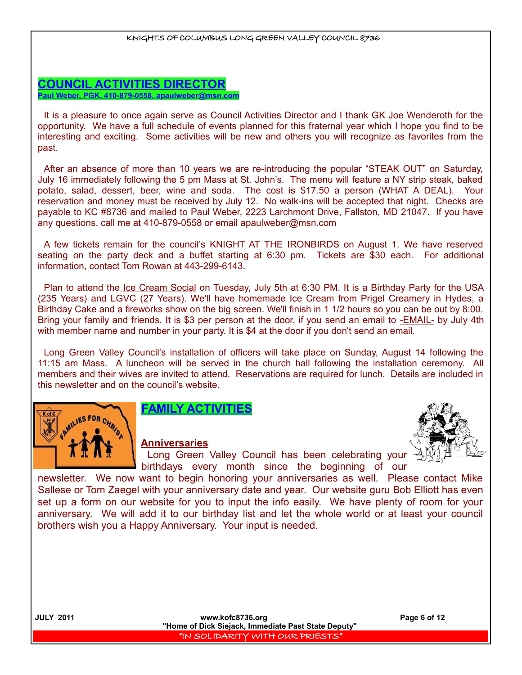## **COUNCIL ACTIVITIES DIRECTOR Paul Weber, PGK, 410-879-0558, apaulweber@msn.com**

It is a pleasure to once again serve as Council Activities Director and I thank GK Joe Wenderoth for the opportunity. We have a full schedule of events planned for this fraternal year which I hope you find to be interesting and exciting. Some activities will be new and others you will recognize as favorites from the past.

After an absence of more than 10 years we are re-introducing the popular "STEAK OUT" on Saturday, July 16 immediately following the 5 pm Mass at St. John's. The menu will feature a NY strip steak, baked potato, salad, dessert, beer, wine and soda. The cost is \$17.50 a person (WHAT A DEAL). Your reservation and money must be received by July 12. No walk-ins will be accepted that night. Checks are payable to KC #8736 and mailed to Paul Weber, 2223 Larchmont Drive, Fallston, MD 21047. If you have any questions, call me at 410-879-0558 or email apaulweber@msn.com

A few tickets remain for the council's KNIGHT AT THE IRONBIRDS on August 1. We have reserved seating on the party deck and a buffet starting at 6:30 pm. Tickets are \$30 each. For additional information, contact Tom Rowan at 443-299-6143.

Plan to attend the Ice Cream Social on Tuesday, July 5th at 6:30 PM. It is a Birthday Party for the USA (235 Years) and LGVC (27 Years). We'll have homemade Ice Cream from Prigel Creamery in Hydes, a Birthday Cake and a fireworks show on the big screen. We'll finish in 1 1/2 hours so you can be out by 8:00. Bring your family and friends. It is \$3 per person at the door, if you send an email to -**EMAIL**- by July 4th with member name and number in your party. It is \$4 at the door if you don't send an email.

Long Green Valley Council's installation of officers will take place on Sunday, August 14 following the 11:15 am Mass. A luncheon will be served in the church hall following the installation ceremony. All members and their wives are invited to attend. Reservations are required for lunch. Details are included in this newsletter and on the council's website.



## **FAMILY ACTIVITIES**

## **Anniversaries**



Long Green Valley Council has been celebrating your birthdays every month since the beginning of our

newsletter. We now want to begin honoring your anniversaries as well. Please contact Mike Sallese or Tom Zaegel with your anniversary date and year. Our website guru Bob Elliott has even set up a form on our website for you to input the info easily. We have plenty of room for your anniversary. We will add it to our birthday list and let the whole world or at least your council brothers wish you a Happy Anniversary. Your input is needed.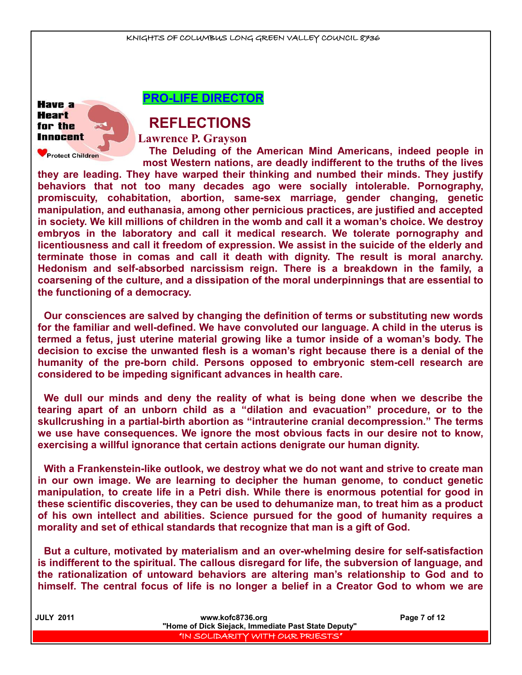

**Protect Children** 

**PRO-LIFE DIRECTOR**

# **REFLECTIONS**

**Lawrence P. Grayson**

**The Deluding of the American Mind Americans, indeed people in most Western nations, are deadly indifferent to the truths of the lives**

**they are leading. They have warped their thinking and numbed their minds. They justify behaviors that not too many decades ago were socially intolerable. Pornography, promiscuity, cohabitation, abortion, same-sex marriage, gender changing, genetic manipulation, and euthanasia, among other pernicious practices, are justified and accepted in society. We kill millions of children in the womb and call it a woman's choice. We destroy embryos in the laboratory and call it medical research. We tolerate pornography and licentiousness and call it freedom of expression. We assist in the suicide of the elderly and terminate those in comas and call it death with dignity. The result is moral anarchy. Hedonism and self-absorbed narcissism reign. There is a breakdown in the family, a coarsening of the culture, and a dissipation of the moral underpinnings that are essential to the functioning of a democracy.**

**Our consciences are salved by changing the definition of terms or substituting new words for the familiar and well-defined. We have convoluted our language. A child in the uterus is termed a fetus, just uterine material growing like a tumor inside of a woman's body. The decision to excise the unwanted flesh is a woman's right because there is a denial of the humanity of the pre-born child. Persons opposed to embryonic stem-cell research are considered to be impeding significant advances in health care.**

**We dull our minds and deny the reality of what is being done when we describe the tearing apart of an unborn child as a "dilation and evacuation" procedure, or to the skullcrushing in a partial-birth abortion as "intrauterine cranial decompression." The terms we use have consequences. We ignore the most obvious facts in our desire not to know, exercising a willful ignorance that certain actions denigrate our human dignity.**

**With a Frankenstein-like outlook, we destroy what we do not want and strive to create man in our own image. We are learning to decipher the human genome, to conduct genetic manipulation, to create life in a Petri dish. While there is enormous potential for good in these scientific discoveries, they can be used to dehumanize man, to treat him as a product of his own intellect and abilities. Science pursued for the good of humanity requires a morality and set of ethical standards that recognize that man is a gift of God.**

**But a culture, motivated by materialism and an over-whelming desire for self-satisfaction is indifferent to the spiritual. The callous disregard for life, the subversion of language, and the rationalization of untoward behaviors are altering man's relationship to God and to himself. The central focus of life is no longer a belief in a Creator God to whom we are**

| <b>JULY 2011</b> | www.kofc8736.org                                    | Page 7 of 12 |
|------------------|-----------------------------------------------------|--------------|
|                  | "Home of Dick Siejack, Immediate Past State Deputy" |              |
|                  | I "IN SOLIDARITY WITH OUR PRIESTS" I                |              |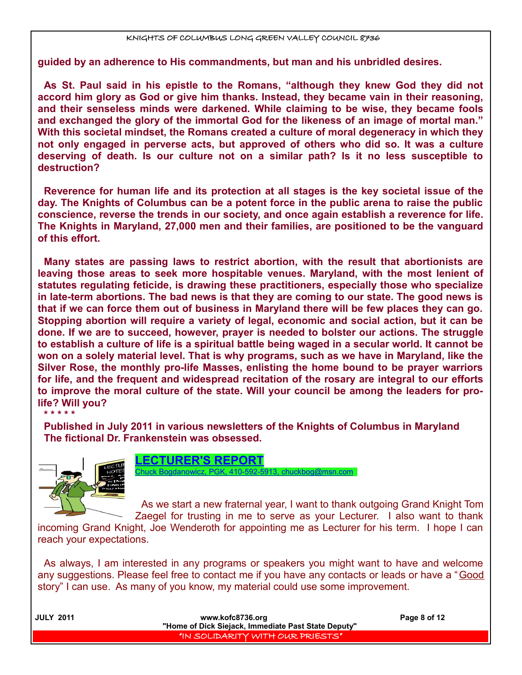**guided by an adherence to His commandments, but man and his unbridled desires.**

**As St. Paul said in his epistle to the Romans, "although they knew God they did not accord him glory as God or give him thanks. Instead, they became vain in their reasoning, and their senseless minds were darkened. While claiming to be wise, they became fools and exchanged the glory of the immortal God for the likeness of an image of mortal man." With this societal mindset, the Romans created a culture of moral degeneracy in which they not only engaged in perverse acts, but approved of others who did so. It was a culture deserving of death. Is our culture not on a similar path? Is it no less susceptible to destruction?**

**Reverence for human life and its protection at all stages is the key societal issue of the day. The Knights of Columbus can be a potent force in the public arena to raise the public conscience, reverse the trends in our society, and once again establish a reverence for life. The Knights in Maryland, 27,000 men and their families, are positioned to be the vanguard of this effort.**

**Many states are passing laws to restrict abortion, with the result that abortionists are leaving those areas to seek more hospitable venues. Maryland, with the most lenient of statutes regulating feticide, is drawing these practitioners, especially those who specialize in late-term abortions. The bad news is that they are coming to our state. The good news is that if we can force them out of business in Maryland there will be few places they can go. Stopping abortion will require a variety of legal, economic and social action, but it can be done. If we are to succeed, however, prayer is needed to bolster our actions. The struggle to establish a culture of life is a spiritual battle being waged in a secular world. It cannot be won on a solely material level. That is why programs, such as we have in Maryland, like the Silver Rose, the monthly pro-life Masses, enlisting the home bound to be prayer warriors for life, and the frequent and widespread recitation of the rosary are integral to our efforts to improve the moral culture of the state. Will your council be among the leaders for prolife? Will you?**

**\* \* \* \* \***

**Published in July 2011 in various newsletters of the Knights of Columbus in Maryland The fictional Dr. Frankenstein was obsessed.**



**LECTURER'S REPORT** Chuck Bogdanowicz, PGK, 410-592-5913, chuckbog@msn.com

As we start a new fraternal year, I want to thank outgoing Grand Knight Tom Zaegel for trusting in me to serve as your Lecturer. I also want to thank

incoming Grand Knight, Joe Wenderoth for appointing me as Lecturer for his term. I hope I can reach your expectations.

As always, I am interested in any programs or speakers you might want to have and welcome any suggestions. Please feel free to contact me if you have any contacts or leads or have a "Good story" I can use. As many of you know, my material could use some improvement.

| <b>JULY 2011</b> | www.kofc8736.org                                    | Page 8 of 12 |
|------------------|-----------------------------------------------------|--------------|
|                  | "Home of Dick Siejack, Immediate Past State Deputy" |              |
|                  | I "IN SOLIDARITY WITH OUR PRIESTS" I                |              |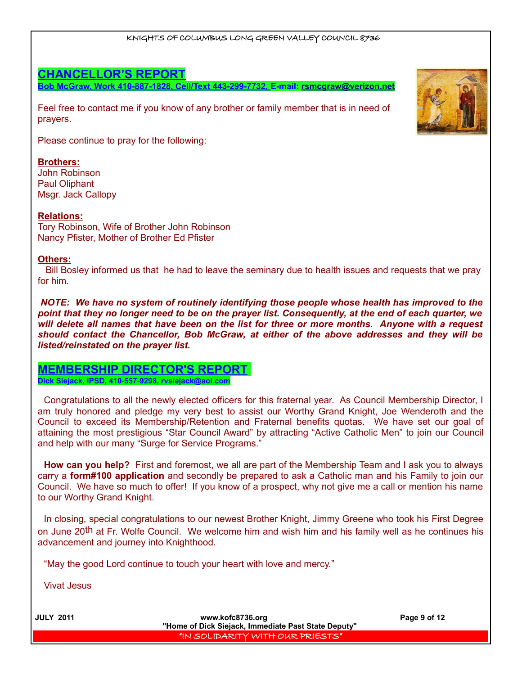## **CHANCELLOR'S REPORT**

**Bob McGraw, Work 410-887-1828, Cell/Text 443-299-7732, E-mail: [rsmcgraw@verizon.net](mailto:rsmcgraw@verizon.net)**

Feel free to contact me if you know of any brother or family member that is in need of prayers.

Please continue to pray for the following:

### **Brothers:**

John Robinson Paul Oliphant Msgr. Jack Callopy

#### **Relations:**

Tory Robinson, Wife of Brother John Robinson Nancy Pfister, Mother of Brother Ed Pfister

#### **Others:**

 Bill Bosley informed us that he had to leave the seminary due to health issues and requests that we pray for him.

*NOTE: We have no system of routinely identifying those people whose health has improved to the point that they no longer need to be on the prayer list. Consequently, at the end of each quarter, we will delete all names that have been on the list for three or more months. Anyone with a request should contact the Chancellor, Bob McGraw, at either of the above addresses and they will be listed/reinstated on the prayer list.* 

# **MEMBERSHIP DIRECTOR'S REPORT**

**Dick Siejack, IPSD, 410-557-9298, rvsiejack@aol.com**

Congratulations to all the newly elected officers for this fraternal year. As Council Membership Director, I am truly honored and pledge my very best to assist our Worthy Grand Knight, Joe Wenderoth and the Council to exceed its Membership/Retention and Fraternal benefits quotas. We have set our goal of attaining the most prestigious "Star Council Award" by attracting "Active Catholic Men" to join our Council and help with our many "Surge for Service Programs."

**How can you help?** First and foremost, we all are part of the Membership Team and I ask you to always carry a **form#100 application** and secondly be prepared to ask a Catholic man and his Family to join our Council. We have so much to offer! If you know of a prospect, why not give me a call or mention his name to our Worthy Grand Knight.

In closing, special congratulations to our newest Brother Knight, Jimmy Greene who took his First Degree on June 20<sup>th</sup> at Fr. Wolfe Council. We welcome him and wish him and his family well as he continues his advancement and journey into Knighthood.

"May the good Lord continue to touch your heart with love and mercy."

Vivat Jesus



 **JULY 2011 www.kofc8736.org Page 9 of 12 "Home of Dick Siejack, Immediate Past State Deputy"**  "IN SOLIDARITY WITH OUR PRIESTS"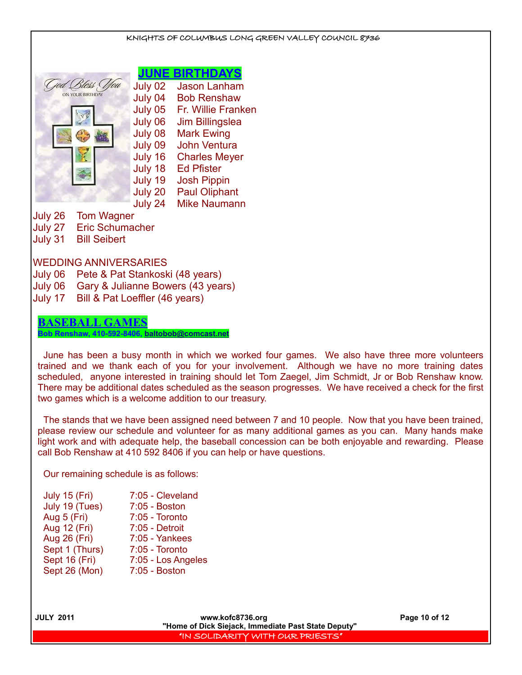## **JUNE BIRTHDAYS** God Bless You July 02 Jason Lanham ON YOUR BIRTHDAY July 04 Bob Renshaw July 05 Fr. Willie Franken July 06 Jim Billingslea July 08 Mark Ewing July 09 John Ventura July 16 Charles Meyer July 18 Ed Pfister July 19 Josh Pippin July 20 Paul Oliphant July 24 Mike Naumann July 26 Tom Wagner July 27 Eric Schumacher July 31 Bill Seibert WEDDING ANNIVERSARIES July 06 Pete & Pat Stankoski (48 years) July 06 Gary & Julianne Bowers (43 years) July 17 Bill & Pat Loeffler (46 years)

KNIGHTS OF COLUMBUS LONG GREEN VALLEY COUNCIL 8736

## **BASEBALL GAMES**

**Bob Renshaw, 410-592-8406, [baltobob@comcast.net](mailto:baltobob@comcast.net)**

June has been a busy month in which we worked four games. We also have three more volunteers trained and we thank each of you for your involvement. Although we have no more training dates scheduled, anyone interested in training should let Tom Zaegel, Jim Schmidt, Jr or Bob Renshaw know. There may be additional dates scheduled as the season progresses. We have received a check for the first two games which is a welcome addition to our treasury.

The stands that we have been assigned need between 7 and 10 people. Now that you have been trained, please review our schedule and volunteer for as many additional games as you can. Many hands make light work and with adequate help, the baseball concession can be both enjoyable and rewarding. Please call Bob Renshaw at 410 592 8406 if you can help or have questions.

Our remaining schedule is as follows:

| <b>July 15 (Fri)</b> | 7:05 - Cleveland   |
|----------------------|--------------------|
| July 19 (Tues)       | 7:05 - Boston      |
| Aug 5 (Fri)          | 7:05 - Toronto     |
| Aug 12 (Fri)         | 7:05 - Detroit     |
| Aug 26 (Fri)         | 7:05 - Yankees     |
| Sept 1 (Thurs)       | $7:05$ - Toronto   |
| Sept 16 (Fri)        | 7:05 - Los Angeles |
| Sept 26 (Mon)        | 7:05 - Boston      |
|                      |                    |

 **JULY 2011 www.kofc8736.org Page 10 of 12 "Home of Dick Siejack, Immediate Past State Deputy"**  "IN SOLIDARITY WITH OUR PRIESTS"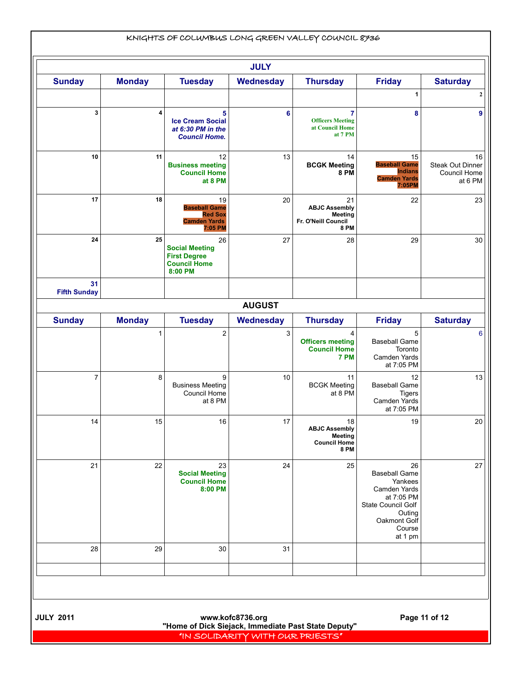|                           |               |                                                                                      | <b>JULY</b>      |                                                                                    |                                                                                                                                                 |                                             |
|---------------------------|---------------|--------------------------------------------------------------------------------------|------------------|------------------------------------------------------------------------------------|-------------------------------------------------------------------------------------------------------------------------------------------------|---------------------------------------------|
| <b>Sunday</b>             | <b>Monday</b> | <b>Tuesday</b>                                                                       | Wednesday        | <b>Thursday</b>                                                                    | <b>Friday</b>                                                                                                                                   | <b>Saturday</b>                             |
| 3                         | 4             | 5<br><b>Ice Cream Social</b><br>at 6:30 PM in the<br><b>Council Home.</b>            | 6                | $\overline{7}$<br><b>Officers Meeting</b><br>at Council Home<br>at 7 PM            | 1<br>8                                                                                                                                          |                                             |
| 10                        | 11            | 12<br><b>Business meeting</b><br><b>Council Home</b><br>at 8 PM                      | 13               | 14<br><b>BCGK Meeting</b><br><b>8 PM</b>                                           | 15<br><b>Baseball Game</b><br><b>Indians</b><br><b>Camden Yards</b><br>7:05PM                                                                   | Steak Out Dinner<br>Council Home<br>at 6 PM |
| 17                        | 18            | 19<br><b>Baseball Game</b><br><b>Red Sox</b><br><b>Camden Yards</b><br>7:05 PM       | 20               | 21<br><b>ABJC Assembly</b><br><b>Meeting</b><br>Fr. O'Neill Council<br><b>8 PM</b> | 22                                                                                                                                              |                                             |
| 24                        | 25            | 26<br><b>Social Meeting</b><br><b>First Degree</b><br><b>Council Home</b><br>8:00 PM | 27               | 28                                                                                 | 29                                                                                                                                              |                                             |
| 31<br><b>Fifth Sunday</b> |               |                                                                                      | <b>AUGUST</b>    |                                                                                    |                                                                                                                                                 |                                             |
| <b>Sunday</b>             | <b>Monday</b> | <b>Tuesday</b>                                                                       | <b>Wednesday</b> | <b>Thursday</b>                                                                    | <b>Friday</b>                                                                                                                                   | <b>Saturday</b>                             |
|                           | 1             | 2                                                                                    | 3                | 4<br><b>Officers meeting</b><br><b>Council Home</b><br>7 PM                        | 5<br><b>Baseball Game</b><br>Toronto<br>Camden Yards<br>at 7:05 PM                                                                              |                                             |
| 7                         | 8             | 9<br><b>Business Meeting</b><br>Council Home<br>at 8 PM                              | 10               | 11<br><b>BCGK Meeting</b><br>at 8 PM                                               | 12<br><b>Baseball Game</b><br><b>Tigers</b><br>Camden Yards<br>at 7:05 PM                                                                       |                                             |
| 14                        | 15            | 16                                                                                   | 17               | 18<br><b>ABJC Assembly</b><br><b>Meeting</b><br><b>Council Home</b><br><b>8 PM</b> | 19                                                                                                                                              |                                             |
| 21                        | 22            | 23<br><b>Social Meeting</b><br><b>Council Home</b><br>8:00 PM                        | 24               | 25                                                                                 | 26<br><b>Baseball Game</b><br>Yankees<br>Camden Yards<br>at 7:05 PM<br><b>State Council Golf</b><br>Outing<br>Oakmont Golf<br>Course<br>at 1 pm |                                             |
| 28                        | 29            | 30                                                                                   | 31               |                                                                                    |                                                                                                                                                 |                                             |